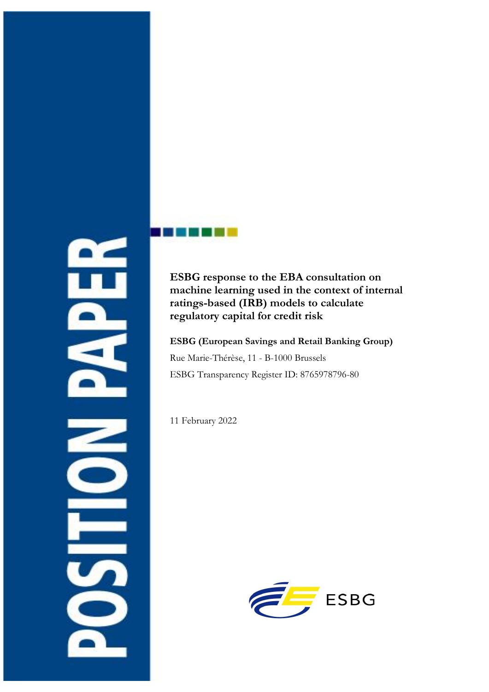# $\overline{\mathbf{z}}$

# **ESBG response to the EBA consultation on machine learning used in the context of internal ratings-based (IRB) models to calculate regulatory capital for credit risk**

**ESBG (European Savings and Retail Banking Group)** Rue Marie-Thérèse, 11 - B-1000 Brussels ESBG Transparency Register ID: 8765978796-80

11 February 2022

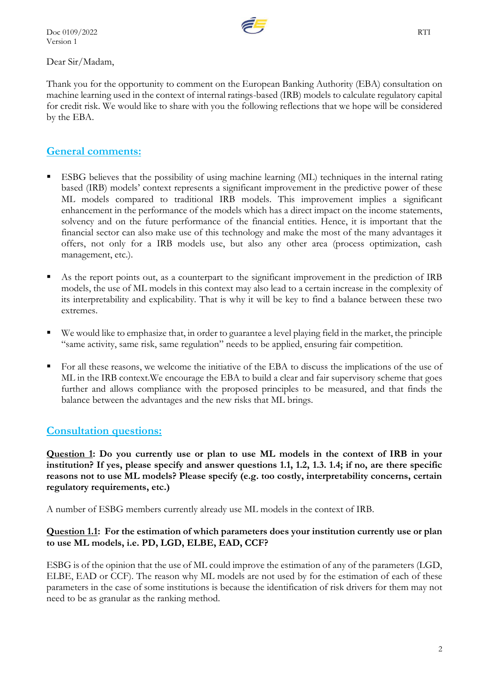Doc 0109/2022 RTI Version 1



Dear Sir/Madam,

Thank you for the opportunity to comment on the European Banking Authority (EBA) consultation on machine learning used in the context of internal ratings-based (IRB) models to calculate regulatory capital for credit risk. We would like to share with you the following reflections that we hope will be considered by the EBA.

# **General comments:**

- ESBG believes that the possibility of using machine learning (ML) techniques in the internal rating based (IRB) models' context represents a significant improvement in the predictive power of these ML models compared to traditional IRB models. This improvement implies a significant enhancement in the performance of the models which has a direct impact on the income statements, solvency and on the future performance of the financial entities. Hence, it is important that the financial sector can also make use of this technology and make the most of the many advantages it offers, not only for a IRB models use, but also any other area (process optimization, cash management, etc.).
- As the report points out, as a counterpart to the significant improvement in the prediction of IRB models, the use of ML models in this context may also lead to a certain increase in the complexity of its interpretability and explicability. That is why it will be key to find a balance between these two extremes.
- We would like to emphasize that, in order to guarantee a level playing field in the market, the principle "same activity, same risk, same regulation" needs to be applied, ensuring fair competition.
- For all these reasons, we welcome the initiative of the EBA to discuss the implications of the use of ML in the IRB context.We encourage the EBA to build a clear and fair supervisory scheme that goes further and allows compliance with the proposed principles to be measured, and that finds the balance between the advantages and the new risks that ML brings.

# **Consultation questions:**

**Question 1: Do you currently use or plan to use ML models in the context of IRB in your institution? If yes, please specify and answer questions 1.1, 1.2, 1.3. 1.4; if no, are there specific reasons not to use ML models? Please specify (e.g. too costly, interpretability concerns, certain regulatory requirements, etc.)**

A number of ESBG members currently already use ML models in the context of IRB.

### **Question 1.1: For the estimation of which parameters does your institution currently use or plan to use ML models, i.e. PD, LGD, ELBE, EAD, CCF?**

ESBG is of the opinion that the use of ML could improve the estimation of any of the parameters (LGD, ELBE, EAD or CCF). The reason why ML models are not used by for the estimation of each of these parameters in the case of some institutions is because the identification of risk drivers for them may not need to be as granular as the ranking method.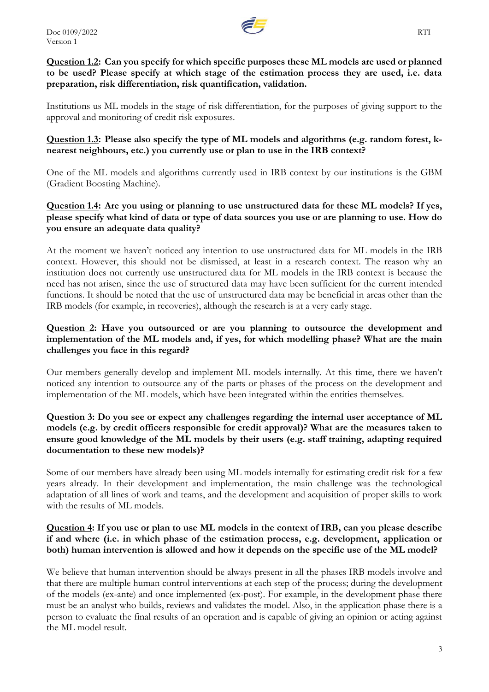

Institutions us ML models in the stage of risk differentiation, for the purposes of giving support to the approval and monitoring of credit risk exposures.

### **Question 1.3: Please also specify the type of ML models and algorithms (e.g. random forest, knearest neighbours, etc.) you currently use or plan to use in the IRB context?**

One of the ML models and algorithms currently used in IRB context by our institutions is the GBM (Gradient Boosting Machine).

### **Question 1.4: Are you using or planning to use unstructured data for these ML models? If yes, please specify what kind of data or type of data sources you use or are planning to use. How do you ensure an adequate data quality?**

At the moment we haven't noticed any intention to use unstructured data for ML models in the IRB context. However, this should not be dismissed, at least in a research context. The reason why an institution does not currently use unstructured data for ML models in the IRB context is because the need has not arisen, since the use of structured data may have been sufficient for the current intended functions. It should be noted that the use of unstructured data may be beneficial in areas other than the IRB models (for example, in recoveries), although the research is at a very early stage.

### **Question 2: Have you outsourced or are you planning to outsource the development and implementation of the ML models and, if yes, for which modelling phase? What are the main challenges you face in this regard?**

Our members generally develop and implement ML models internally. At this time, there we haven't noticed any intention to outsource any of the parts or phases of the process on the development and implementation of the ML models, which have been integrated within the entities themselves.

### **Question 3: Do you see or expect any challenges regarding the internal user acceptance of ML models (e.g. by credit officers responsible for credit approval)? What are the measures taken to ensure good knowledge of the ML models by their users (e.g. staff training, adapting required documentation to these new models)?**

Some of our members have already been using ML models internally for estimating credit risk for a few years already. In their development and implementation, the main challenge was the technological adaptation of all lines of work and teams, and the development and acquisition of proper skills to work with the results of ML models.

### **Question 4: If you use or plan to use ML models in the context of IRB, can you please describe if and where (i.e. in which phase of the estimation process, e.g. development, application or both) human intervention is allowed and how it depends on the specific use of the ML model?**

We believe that human intervention should be always present in all the phases IRB models involve and that there are multiple human control interventions at each step of the process; during the development of the models (ex-ante) and once implemented (ex-post). For example, in the development phase there must be an analyst who builds, reviews and validates the model. Also, in the application phase there is a person to evaluate the final results of an operation and is capable of giving an opinion or acting against the ML model result.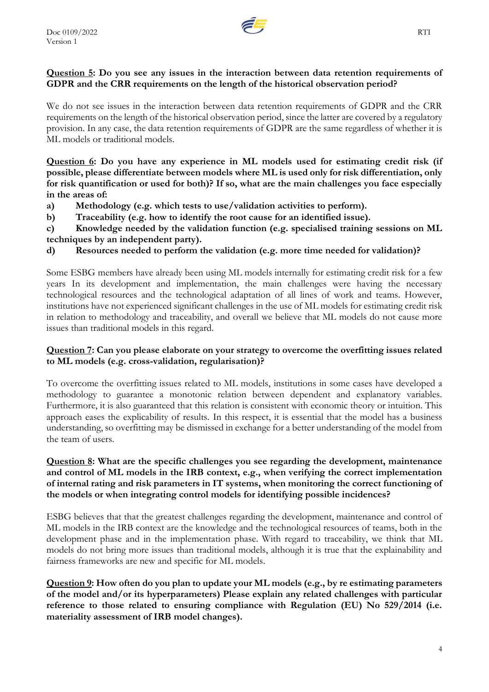

### **Question 5: Do you see any issues in the interaction between data retention requirements of GDPR and the CRR requirements on the length of the historical observation period?**

We do not see issues in the interaction between data retention requirements of GDPR and the CRR requirements on the length of the historical observation period, since the latter are covered by a regulatory provision. In any case, the data retention requirements of GDPR are the same regardless of whether it is ML models or traditional models.

**Question 6: Do you have any experience in ML models used for estimating credit risk (if possible, please differentiate between models where ML is used only for risk differentiation, only for risk quantification or used for both)? If so, what are the main challenges you face especially in the areas of:**

- **a) Methodology (e.g. which tests to use/validation activities to perform).**
- **b) Traceability (e.g. how to identify the root cause for an identified issue).**

**c) Knowledge needed by the validation function (e.g. specialised training sessions on ML techniques by an independent party).**

**d) Resources needed to perform the validation (e.g. more time needed for validation)?**

Some ESBG members have already been using ML models internally for estimating credit risk for a few years In its development and implementation, the main challenges were having the necessary technological resources and the technological adaptation of all lines of work and teams. However, institutions have not experienced significant challenges in the use of ML models for estimating credit risk in relation to methodology and traceability, and overall we believe that ML models do not cause more issues than traditional models in this regard.

### **Question 7: Can you please elaborate on your strategy to overcome the overfitting issues related to ML models (e.g. cross-validation, regularisation)?**

To overcome the overfitting issues related to ML models, institutions in some cases have developed a methodology to guarantee a monotonic relation between dependent and explanatory variables. Furthermore, it is also guaranteed that this relation is consistent with economic theory or intuition. This approach eases the explicability of results. In this respect, it is essential that the model has a business understanding, so overfitting may be dismissed in exchange for a better understanding of the model from the team of users.

### **Question 8: What are the specific challenges you see regarding the development, maintenance and control of ML models in the IRB context, e.g., when verifying the correct implementation of internal rating and risk parameters in IT systems, when monitoring the correct functioning of the models or when integrating control models for identifying possible incidences?**

ESBG believes that that the greatest challenges regarding the development, maintenance and control of ML models in the IRB context are the knowledge and the technological resources of teams, both in the development phase and in the implementation phase. With regard to traceability, we think that ML models do not bring more issues than traditional models, although it is true that the explainability and fairness frameworks are new and specific for ML models.

**Question 9: How often do you plan to update your ML models (e.g., by re estimating parameters of the model and/or its hyperparameters) Please explain any related challenges with particular reference to those related to ensuring compliance with Regulation (EU) No 529/2014 (i.e. materiality assessment of IRB model changes).**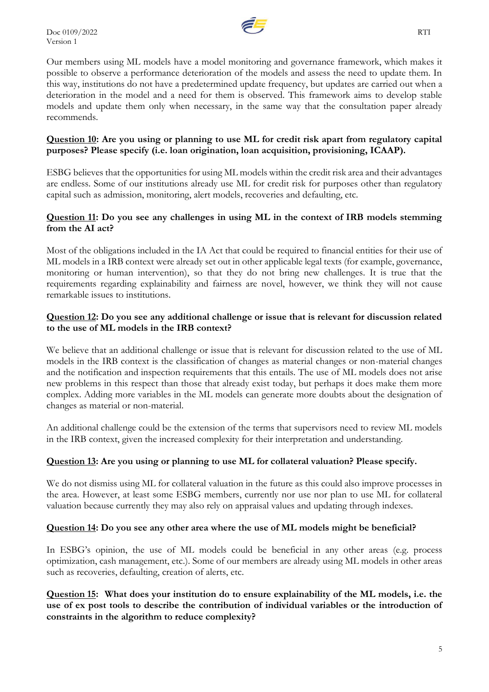

Our members using ML models have a model monitoring and governance framework, which makes it possible to observe a performance deterioration of the models and assess the need to update them. In this way, institutions do not have a predetermined update frequency, but updates are carried out when a deterioration in the model and a need for them is observed. This framework aims to develop stable models and update them only when necessary, in the same way that the consultation paper already recommends.

### **Question 10: Are you using or planning to use ML for credit risk apart from regulatory capital purposes? Please specify (i.e. loan origination, loan acquisition, provisioning, ICAAP).**

ESBG believes that the opportunities for using ML models within the credit risk area and their advantages are endless. Some of our institutions already use ML for credit risk for purposes other than regulatory capital such as admission, monitoring, alert models, recoveries and defaulting, etc.

### **Question 11: Do you see any challenges in using ML in the context of IRB models stemming from the AI act?**

Most of the obligations included in the IA Act that could be required to financial entities for their use of ML models in a IRB context were already set out in other applicable legal texts (for example, governance, monitoring or human intervention), so that they do not bring new challenges. It is true that the requirements regarding explainability and fairness are novel, however, we think they will not cause remarkable issues to institutions.

### **Question 12: Do you see any additional challenge or issue that is relevant for discussion related to the use of ML models in the IRB context?**

We believe that an additional challenge or issue that is relevant for discussion related to the use of ML models in the IRB context is the classification of changes as material changes or non-material changes and the notification and inspection requirements that this entails. The use of ML models does not arise new problems in this respect than those that already exist today, but perhaps it does make them more complex. Adding more variables in the ML models can generate more doubts about the designation of changes as material or non-material.

An additional challenge could be the extension of the terms that supervisors need to review ML models in the IRB context, given the increased complexity for their interpretation and understanding.

### **Question 13: Are you using or planning to use ML for collateral valuation? Please specify.**

We do not dismiss using ML for collateral valuation in the future as this could also improve processes in the area. However, at least some ESBG members, currently nor use nor plan to use ML for collateral valuation because currently they may also rely on appraisal values and updating through indexes.

### **Question 14: Do you see any other area where the use of ML models might be beneficial?**

In ESBG's opinion, the use of ML models could be beneficial in any other areas (e.g. process optimization, cash management, etc.). Some of our members are already using ML models in other areas such as recoveries, defaulting, creation of alerts, etc.

### **Question 15: What does your institution do to ensure explainability of the ML models, i.e. the use of ex post tools to describe the contribution of individual variables or the introduction of constraints in the algorithm to reduce complexity?**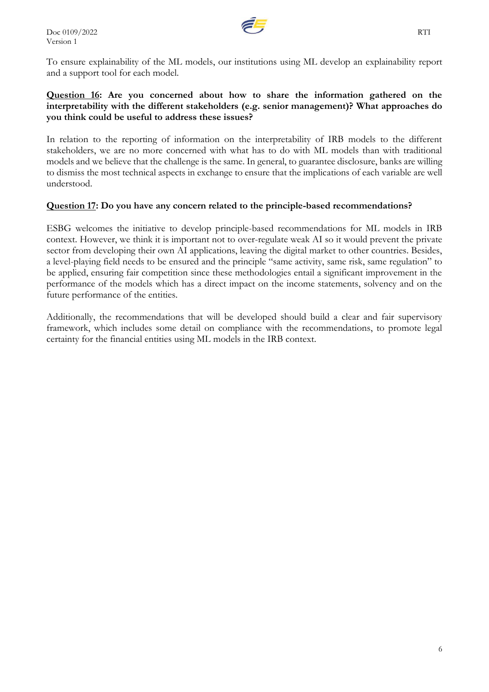

### **Question 16: Are you concerned about how to share the information gathered on the interpretability with the different stakeholders (e.g. senior management)? What approaches do you think could be useful to address these issues?**

In relation to the reporting of information on the interpretability of IRB models to the different stakeholders, we are no more concerned with what has to do with ML models than with traditional models and we believe that the challenge is the same. In general, to guarantee disclosure, banks are willing to dismiss the most technical aspects in exchange to ensure that the implications of each variable are well understood.

## **Question 17: Do you have any concern related to the principle-based recommendations?**

ESBG welcomes the initiative to develop principle-based recommendations for ML models in IRB context. However, we think it is important not to over-regulate weak AI so it would prevent the private sector from developing their own AI applications, leaving the digital market to other countries. Besides, a level-playing field needs to be ensured and the principle "same activity, same risk, same regulation" to be applied, ensuring fair competition since these methodologies entail a significant improvement in the performance of the models which has a direct impact on the income statements, solvency and on the future performance of the entities.

Additionally, the recommendations that will be developed should build a clear and fair supervisory framework, which includes some detail on compliance with the recommendations, to promote legal certainty for the financial entities using ML models in the IRB context.